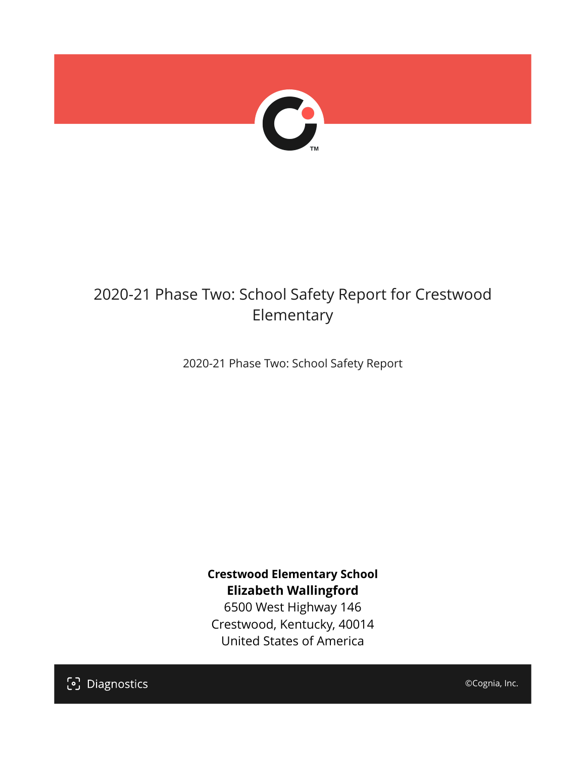

## 2020-21 Phase Two: School Safety Report for Crestwood Elementary

2020-21 Phase Two: School Safety Report

**Crestwood Elementary School Elizabeth Wallingford**

6500 West Highway 146 Crestwood, Kentucky, 40014 United States of America

[၁] Diagnostics

©Cognia, Inc.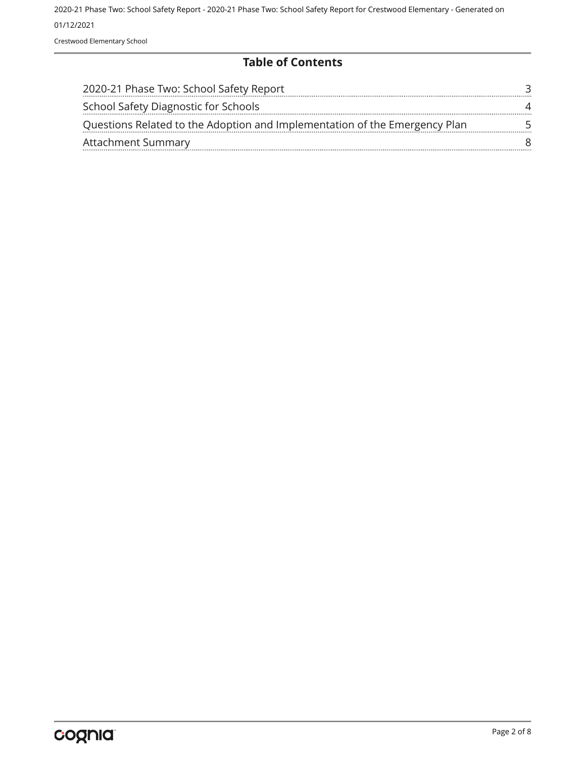2020-21 Phase Two: School Safety Report - 2020-21 Phase Two: School Safety Report for Crestwood Elementary - Generated on 01/12/2021 Crestwood Elementary School

#### **Table of Contents**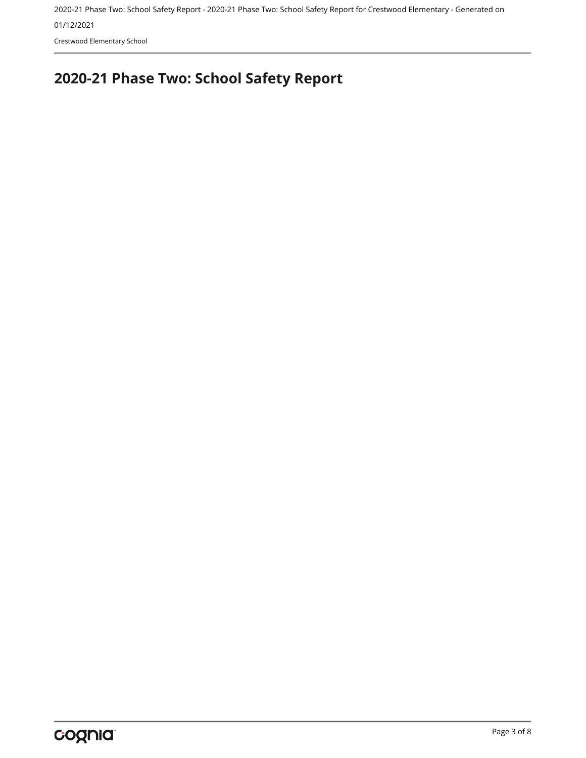01/12/2021

Crestwood Elementary School

# <span id="page-2-0"></span>**2020-21 Phase Two: School Safety Report**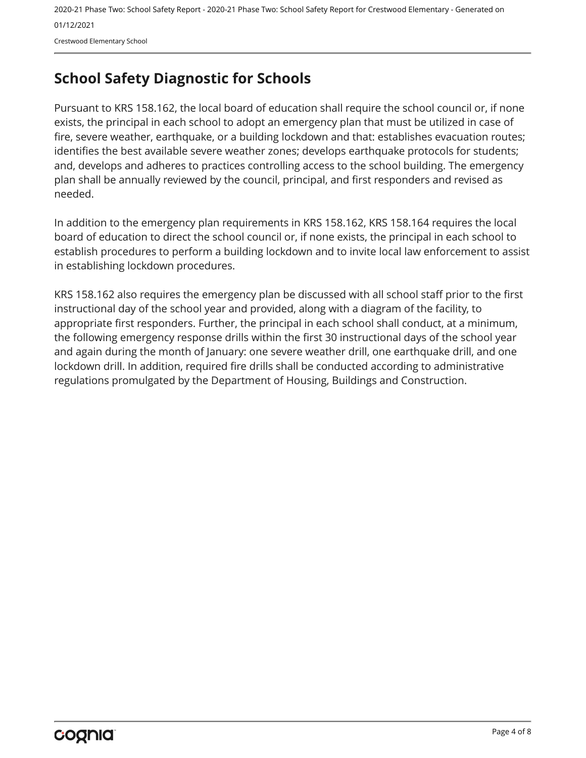2020-21 Phase Two: School Safety Report - 2020-21 Phase Two: School Safety Report for Crestwood Elementary - Generated on 01/12/2021 Crestwood Elementary School

## <span id="page-3-0"></span>**School Safety Diagnostic for Schools**

Pursuant to KRS 158.162, the local board of education shall require the school council or, if none exists, the principal in each school to adopt an emergency plan that must be utilized in case of fire, severe weather, earthquake, or a building lockdown and that: establishes evacuation routes; identifies the best available severe weather zones; develops earthquake protocols for students; and, develops and adheres to practices controlling access to the school building. The emergency plan shall be annually reviewed by the council, principal, and first responders and revised as needed.

In addition to the emergency plan requirements in KRS 158.162, KRS 158.164 requires the local board of education to direct the school council or, if none exists, the principal in each school to establish procedures to perform a building lockdown and to invite local law enforcement to assist in establishing lockdown procedures.

KRS 158.162 also requires the emergency plan be discussed with all school staff prior to the first instructional day of the school year and provided, along with a diagram of the facility, to appropriate first responders. Further, the principal in each school shall conduct, at a minimum, the following emergency response drills within the first 30 instructional days of the school year and again during the month of January: one severe weather drill, one earthquake drill, and one lockdown drill. In addition, required fire drills shall be conducted according to administrative regulations promulgated by the Department of Housing, Buildings and Construction.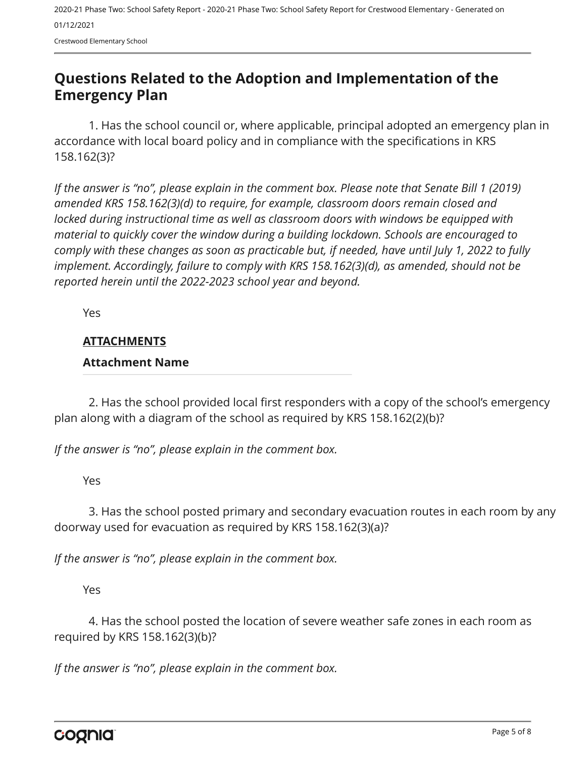Crestwood Elementary School

### <span id="page-4-0"></span>**Questions Related to the Adoption and Implementation of the Emergency Plan**

1. Has the school council or, where applicable, principal adopted an emergency plan in accordance with local board policy and in compliance with the specifications in KRS 158.162(3)?

*If the answer is "no", please explain in the comment box. Please note that Senate Bill 1 (2019) amended KRS 158.162(3)(d) to require, for example, classroom doors remain closed and locked during instructional time as well as classroom doors with windows be equipped with material to quickly cover the window during a building lockdown. Schools are encouraged to comply with these changes as soon as practicable but, if needed, have until July 1, 2022 to fully implement. Accordingly, failure to comply with KRS 158.162(3)(d), as amended, should not be reported herein until the 2022-2023 school year and beyond.*

Yes

#### **ATTACHMENTS**

#### **Attachment Name**

2. Has the school provided local first responders with a copy of the school's emergency plan along with a diagram of the school as required by KRS 158.162(2)(b)?

*If the answer is "no", please explain in the comment box.*

Yes

3. Has the school posted primary and secondary evacuation routes in each room by any doorway used for evacuation as required by KRS 158.162(3)(a)?

*If the answer is "no", please explain in the comment box.*

Yes

4. Has the school posted the location of severe weather safe zones in each room as required by KRS 158.162(3)(b)?

*If the answer is "no", please explain in the comment box.*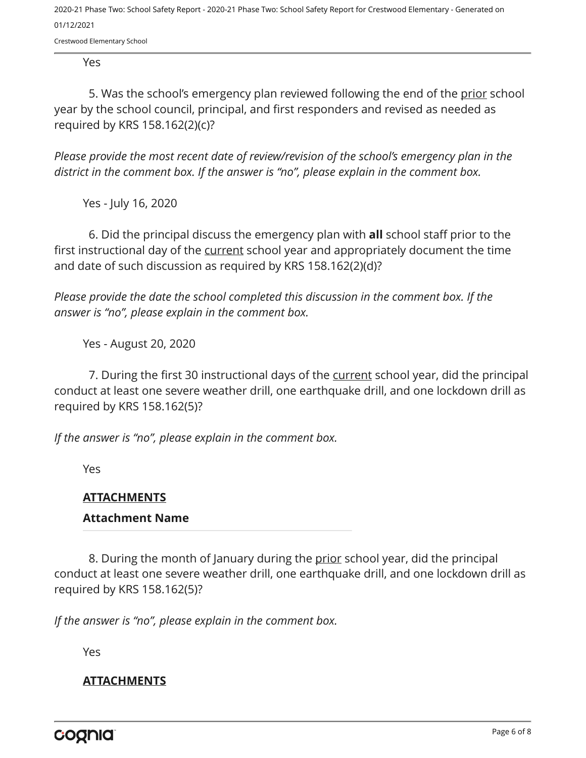Crestwood Elementary School

Yes

5. Was the school's emergency plan reviewed following the end of the prior school year by the school council, principal, and first responders and revised as needed as required by KRS 158.162(2)(c)?

*Please provide the most recent date of review/revision of the school's emergency plan in the district in the comment box. If the answer is "no", please explain in the comment box.* 

Yes - July 16, 2020

6. Did the principal discuss the emergency plan with **all** school staff prior to the first instructional day of the current school year and appropriately document the time and date of such discussion as required by KRS 158.162(2)(d)?

*Please provide the date the school completed this discussion in the comment box. If the answer is "no", please explain in the comment box.*

Yes - August 20, 2020

7. During the first 30 instructional days of the current school year, did the principal conduct at least one severe weather drill, one earthquake drill, and one lockdown drill as required by KRS 158.162(5)?

*If the answer is "no", please explain in the comment box.*

Yes

#### **ATTACHMENTS**

#### **Attachment Name**

8. During the month of January during the prior school year, did the principal conduct at least one severe weather drill, one earthquake drill, and one lockdown drill as required by KRS 158.162(5)?

*If the answer is "no", please explain in the comment box.*

Yes

#### **ATTACHMENTS**

cognia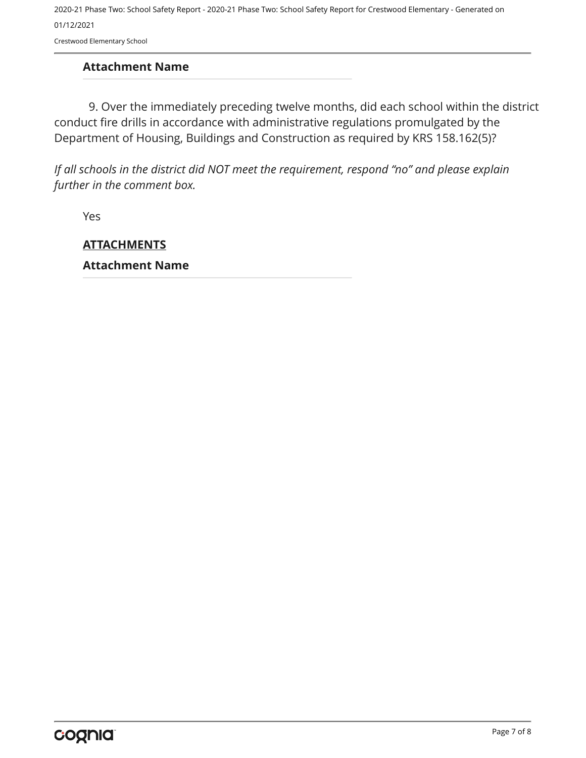Crestwood Elementary School

#### **Attachment Name**

9. Over the immediately preceding twelve months, did each school within the district conduct fire drills in accordance with administrative regulations promulgated by the Department of Housing, Buildings and Construction as required by KRS 158.162(5)?

*If all schools in the district did NOT meet the requirement, respond "no" and please explain further in the comment box.* 

Yes

**ATTACHMENTS Attachment Name**